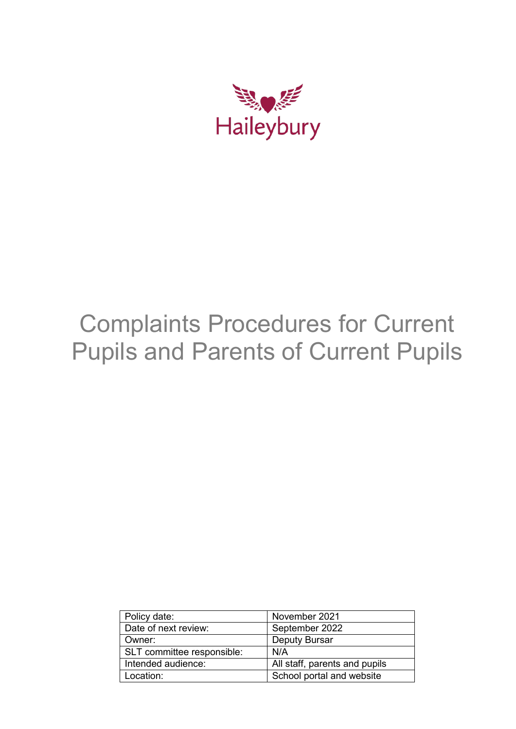

# Complaints Procedures for Current Pupils and Parents of Current Pupils

| Policy date:               | November 2021                 |
|----------------------------|-------------------------------|
| Date of next review:       | September 2022                |
| Owner:                     | <b>Deputy Bursar</b>          |
| SLT committee responsible: | N/A                           |
| Intended audience:         | All staff, parents and pupils |
| Location:                  | School portal and website     |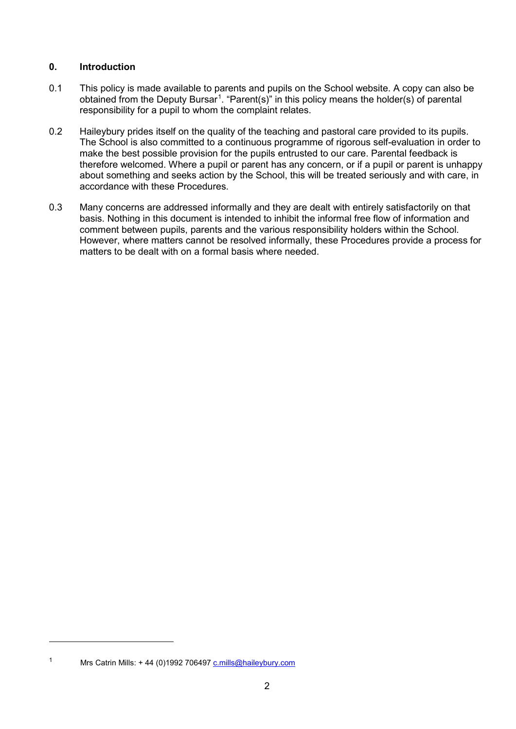### **0. Introduction**

- 0.1 This policy is made available to parents and pupils on the School website. A copy can also be obtained from the Deputy Bursar<sup>[1](#page-1-0)</sup>. "Parent(s)" in this policy means the holder(s) of parental responsibility for a pupil to whom the complaint relates.
- 0.2 Haileybury prides itself on the quality of the teaching and pastoral care provided to its pupils. The School is also committed to a continuous programme of rigorous self-evaluation in order to make the best possible provision for the pupils entrusted to our care. Parental feedback is therefore welcomed. Where a pupil or parent has any concern, or if a pupil or parent is unhappy about something and seeks action by the School, this will be treated seriously and with care, in accordance with these Procedures.
- 0.3 Many concerns are addressed informally and they are dealt with entirely satisfactorily on that basis. Nothing in this document is intended to inhibit the informal free flow of information and comment between pupils, parents and the various responsibility holders within the School. However, where matters cannot be resolved informally, these Procedures provide a process for matters to be dealt with on a formal basis where needed.

<span id="page-1-0"></span>

-

<sup>&</sup>lt;sup>1</sup> Mrs Catrin Mills:  $+ 44$  (0)1992 706497 [c.mills@haileybury.com](mailto:c.mills@haileybury.com)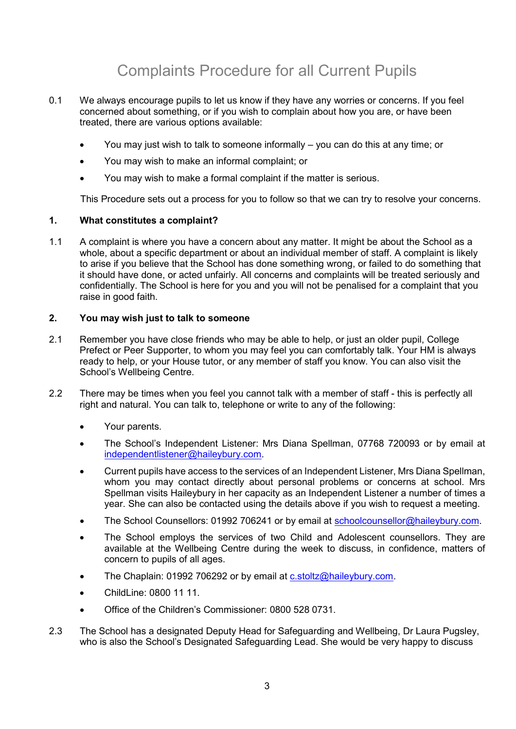# Complaints Procedure for all Current Pupils

- 0.1 We always encourage pupils to let us know if they have any worries or concerns. If you feel concerned about something, or if you wish to complain about how you are, or have been treated, there are various options available:
	- You may just wish to talk to someone informally you can do this at any time; or
	- You may wish to make an informal complaint; or
	- You may wish to make a formal complaint if the matter is serious.

This Procedure sets out a process for you to follow so that we can try to resolve your concerns.

#### **1. What constitutes a complaint?**

1.1 A complaint is where you have a concern about any matter. It might be about the School as a whole, about a specific department or about an individual member of staff. A complaint is likely to arise if you believe that the School has done something wrong, or failed to do something that it should have done, or acted unfairly. All concerns and complaints will be treated seriously and confidentially. The School is here for you and you will not be penalised for a complaint that you raise in good faith.

# **2. You may wish just to talk to someone**

- 2.1 Remember you have close friends who may be able to help, or just an older pupil, College Prefect or Peer Supporter, to whom you may feel you can comfortably talk. Your HM is always ready to help, or your House tutor, or any member of staff you know. You can also visit the School's Wellbeing Centre.
- 2.2 There may be times when you feel you cannot talk with a member of staff this is perfectly all right and natural. You can talk to, telephone or write to any of the following:
	- Your parents.
	- The School's Independent Listener: Mrs Diana Spellman, 07768 720093 or by email at [independentlistener@haileybury.com.](mailto:independentlistener@haileybury.com)
	- Current pupils have access to the services of an Independent Listener, Mrs Diana Spellman, whom you may contact directly about personal problems or concerns at school. Mrs Spellman visits Haileybury in her capacity as an Independent Listener a number of times a year. She can also be contacted using the details above if you wish to request a meeting.
	- The School Counsellors: 01992 706241 or by email at [schoolcounsellor@haileybury.com.](mailto:schoolcounsellor@haileybury.com)
	- The School employs the services of two Child and Adolescent counsellors. They are available at the Wellbeing Centre during the week to discuss, in confidence, matters of concern to pupils of all ages.
	- The Chaplain: 01992 706292 or by email at [c.stoltz@haileybury.com.](mailto:c.stoltz@haileybury.com)
	- ChildLine: 0800 11 11.
	- Office of the Children's Commissioner: 0800 528 0731.
- 2.3 The School has a designated Deputy Head for Safeguarding and Wellbeing, Dr Laura Pugsley, who is also the School's Designated Safeguarding Lead. She would be very happy to discuss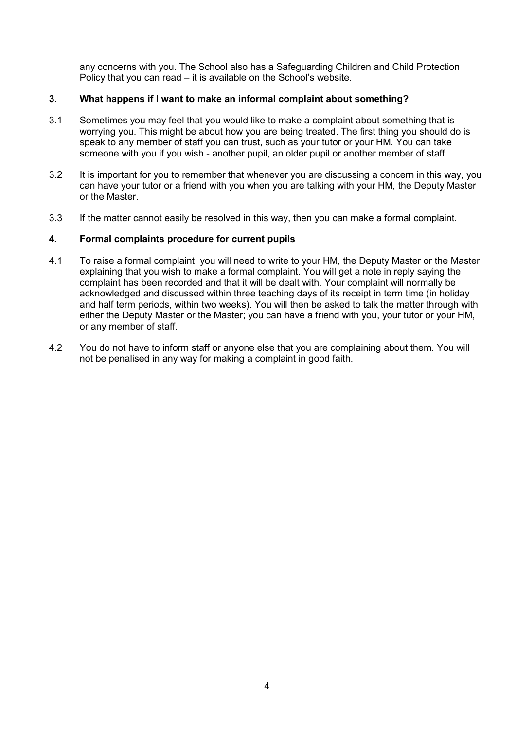any concerns with you. The School also has a Safeguarding Children and Child Protection Policy that you can read – it is available on the School's website.

### **3. What happens if I want to make an informal complaint about something?**

- 3.1 Sometimes you may feel that you would like to make a complaint about something that is worrying you. This might be about how you are being treated. The first thing you should do is speak to any member of staff you can trust, such as your tutor or your HM. You can take someone with you if you wish - another pupil, an older pupil or another member of staff.
- 3.2 It is important for you to remember that whenever you are discussing a concern in this way, you can have your tutor or a friend with you when you are talking with your HM, the Deputy Master or the Master.
- 3.3 If the matter cannot easily be resolved in this way, then you can make a formal complaint.

#### **4. Formal complaints procedure for current pupils**

- 4.1 To raise a formal complaint, you will need to write to your HM, the Deputy Master or the Master explaining that you wish to make a formal complaint. You will get a note in reply saying the complaint has been recorded and that it will be dealt with. Your complaint will normally be acknowledged and discussed within three teaching days of its receipt in term time (in holiday and half term periods, within two weeks). You will then be asked to talk the matter through with either the Deputy Master or the Master; you can have a friend with you, your tutor or your HM, or any member of staff.
- 4.2 You do not have to inform staff or anyone else that you are complaining about them. You will not be penalised in any way for making a complaint in good faith.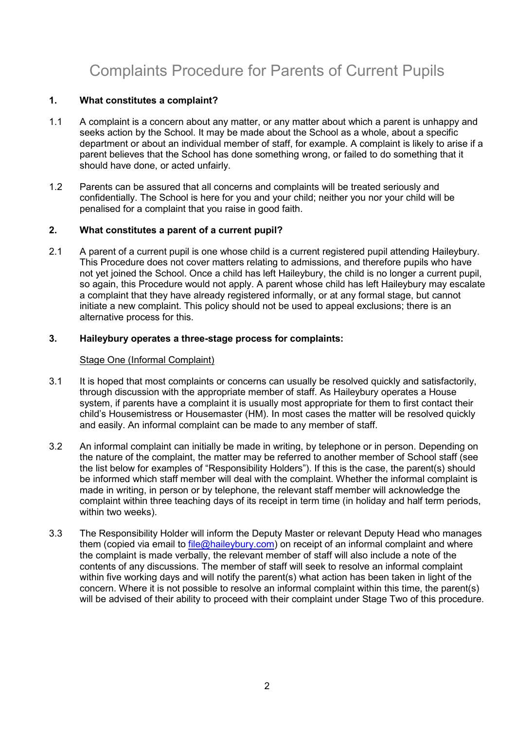# Complaints Procedure for Parents of Current Pupils

### **1. What constitutes a complaint?**

- 1.1 A complaint is a concern about any matter, or any matter about which a parent is unhappy and seeks action by the School. It may be made about the School as a whole, about a specific department or about an individual member of staff, for example. A complaint is likely to arise if a parent believes that the School has done something wrong, or failed to do something that it should have done, or acted unfairly.
- 1.2 Parents can be assured that all concerns and complaints will be treated seriously and confidentially. The School is here for you and your child; neither you nor your child will be penalised for a complaint that you raise in good faith.

# **2. What constitutes a parent of a current pupil?**

2.1 A parent of a current pupil is one whose child is a current registered pupil attending Haileybury. This Procedure does not cover matters relating to admissions, and therefore pupils who have not yet joined the School. Once a child has left Haileybury, the child is no longer a current pupil, so again, this Procedure would not apply. A parent whose child has left Haileybury may escalate a complaint that they have already registered informally, or at any formal stage, but cannot initiate a new complaint. This policy should not be used to appeal exclusions; there is an alternative process for this.

# **3. Haileybury operates a three-stage process for complaints:**

### Stage One (Informal Complaint)

- 3.1 It is hoped that most complaints or concerns can usually be resolved quickly and satisfactorily, through discussion with the appropriate member of staff. As Haileybury operates a House system, if parents have a complaint it is usually most appropriate for them to first contact their child's Housemistress or Housemaster (HM). In most cases the matter will be resolved quickly and easily. An informal complaint can be made to any member of staff.
- 3.2 An informal complaint can initially be made in writing, by telephone or in person. Depending on the nature of the complaint, the matter may be referred to another member of School staff (see the list below for examples of "Responsibility Holders"). If this is the case, the parent(s) should be informed which staff member will deal with the complaint. Whether the informal complaint is made in writing, in person or by telephone, the relevant staff member will acknowledge the complaint within three teaching days of its receipt in term time (in holiday and half term periods, within two weeks).
- 3.3 The Responsibility Holder will inform the Deputy Master or relevant Deputy Head who manages them (copied via email to [file@haileybury.com\)](mailto:file@haileybury.com) on receipt of an informal complaint and where the complaint is made verbally, the relevant member of staff will also include a note of the contents of any discussions. The member of staff will seek to resolve an informal complaint within five working days and will notify the parent(s) what action has been taken in light of the concern. Where it is not possible to resolve an informal complaint within this time, the parent(s) will be advised of their ability to proceed with their complaint under Stage Two of this procedure.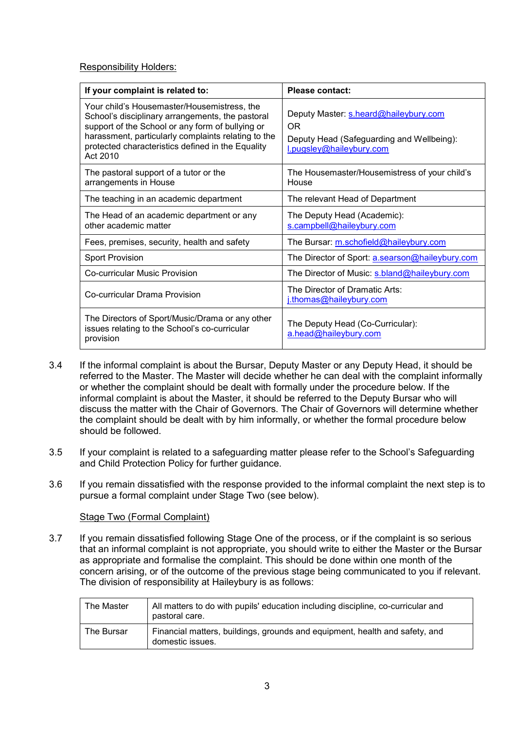# Responsibility Holders:

| If your complaint is related to:                                                                                                                                                                                                                                            | <b>Please contact:</b>                                                                                                |  |
|-----------------------------------------------------------------------------------------------------------------------------------------------------------------------------------------------------------------------------------------------------------------------------|-----------------------------------------------------------------------------------------------------------------------|--|
| Your child's Housemaster/Housemistress, the<br>School's disciplinary arrangements, the pastoral<br>support of the School or any form of bullying or<br>harassment, particularly complaints relating to the<br>protected characteristics defined in the Equality<br>Act 2010 | Deputy Master: s.heard@haileybury.com<br>OR.<br>Deputy Head (Safeguarding and Wellbeing):<br>l.pugsley@haileybury.com |  |
| The pastoral support of a tutor or the<br>arrangements in House                                                                                                                                                                                                             | The Housemaster/Housemistress of your child's<br>House                                                                |  |
| The teaching in an academic department                                                                                                                                                                                                                                      | The relevant Head of Department                                                                                       |  |
| The Head of an academic department or any<br>other academic matter                                                                                                                                                                                                          | The Deputy Head (Academic):<br>s.campbell@haileybury.com                                                              |  |
| Fees, premises, security, health and safety                                                                                                                                                                                                                                 | The Bursar: m.schofield@haileybury.com                                                                                |  |
| <b>Sport Provision</b>                                                                                                                                                                                                                                                      | The Director of Sport: a.searson@haileybury.com                                                                       |  |
| Co-curricular Music Provision                                                                                                                                                                                                                                               | The Director of Music: s.bland@haileybury.com                                                                         |  |
| Co-curricular Drama Provision                                                                                                                                                                                                                                               | The Director of Dramatic Arts:<br>i.thomas@haileybury.com                                                             |  |
| The Directors of Sport/Music/Drama or any other<br>issues relating to the School's co-curricular<br>provision                                                                                                                                                               | The Deputy Head (Co-Curricular):<br>a.head@haileybury.com                                                             |  |

- 3.4 If the informal complaint is about the Bursar, Deputy Master or any Deputy Head, it should be referred to the Master. The Master will decide whether he can deal with the complaint informally or whether the complaint should be dealt with formally under the procedure below. If the informal complaint is about the Master, it should be referred to the Deputy Bursar who will discuss the matter with the Chair of Governors. The Chair of Governors will determine whether the complaint should be dealt with by him informally, or whether the formal procedure below should be followed.
- 3.5 If your complaint is related to a safeguarding matter please refer to the School's Safeguarding and Child Protection Policy for further guidance.
- 3.6 If you remain dissatisfied with the response provided to the informal complaint the next step is to pursue a formal complaint under Stage Two (see below).

#### Stage Two (Formal Complaint)

3.7 If you remain dissatisfied following Stage One of the process, or if the complaint is so serious that an informal complaint is not appropriate, you should write to either the Master or the Bursar as appropriate and formalise the complaint. This should be done within one month of the concern arising, or of the outcome of the previous stage being communicated to you if relevant. The division of responsibility at Haileybury is as follows:

| The Master | All matters to do with pupils' education including discipline, co-curricular and<br>pastoral care. |
|------------|----------------------------------------------------------------------------------------------------|
| The Bursar | Financial matters, buildings, grounds and equipment, health and safety, and<br>domestic issues.    |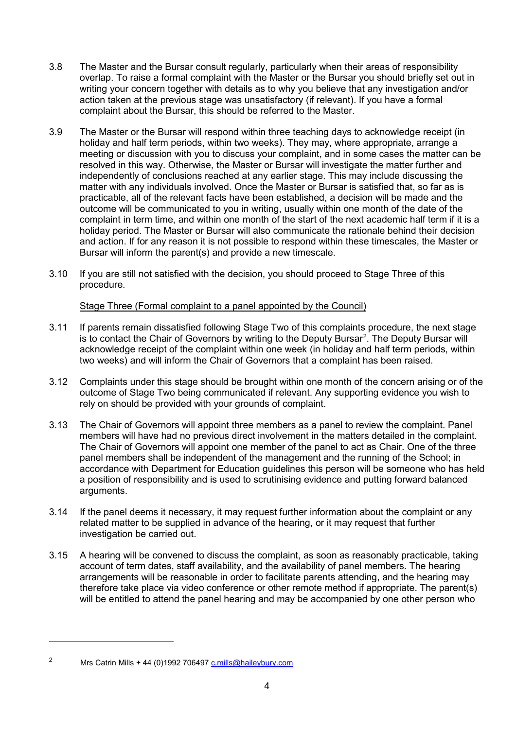- 3.8 The Master and the Bursar consult regularly, particularly when their areas of responsibility overlap. To raise a formal complaint with the Master or the Bursar you should briefly set out in writing your concern together with details as to why you believe that any investigation and/or action taken at the previous stage was unsatisfactory (if relevant). If you have a formal complaint about the Bursar, this should be referred to the Master.
- 3.9 The Master or the Bursar will respond within three teaching days to acknowledge receipt (in holiday and half term periods, within two weeks). They may, where appropriate, arrange a meeting or discussion with you to discuss your complaint, and in some cases the matter can be resolved in this way. Otherwise, the Master or Bursar will investigate the matter further and independently of conclusions reached at any earlier stage. This may include discussing the matter with any individuals involved. Once the Master or Bursar is satisfied that, so far as is practicable, all of the relevant facts have been established, a decision will be made and the outcome will be communicated to you in writing, usually within one month of the date of the complaint in term time, and within one month of the start of the next academic half term if it is a holiday period. The Master or Bursar will also communicate the rationale behind their decision and action. If for any reason it is not possible to respond within these timescales, the Master or Bursar will inform the parent(s) and provide a new timescale.
- 3.10 If you are still not satisfied with the decision, you should proceed to Stage Three of this procedure.

# Stage Three (Formal complaint to a panel appointed by the Council)

- 3.11 If parents remain dissatisfied following Stage Two of this complaints procedure, the next stage is to contact the Chair of Governors by writing to the Deputy Bursar $^2$  $^2$ . The Deputy Bursar will acknowledge receipt of the complaint within one week (in holiday and half term periods, within two weeks) and will inform the Chair of Governors that a complaint has been raised.
- 3.12 Complaints under this stage should be brought within one month of the concern arising or of the outcome of Stage Two being communicated if relevant. Any supporting evidence you wish to rely on should be provided with your grounds of complaint.
- 3.13 The Chair of Governors will appoint three members as a panel to review the complaint. Panel members will have had no previous direct involvement in the matters detailed in the complaint. The Chair of Governors will appoint one member of the panel to act as Chair. One of the three panel members shall be independent of the management and the running of the School; in accordance with Department for Education guidelines this person will be someone who has held a position of responsibility and is used to scrutinising evidence and putting forward balanced arguments.
- 3.14 If the panel deems it necessary, it may request further information about the complaint or any related matter to be supplied in advance of the hearing, or it may request that further investigation be carried out.
- 3.15 A hearing will be convened to discuss the complaint, as soon as reasonably practicable, taking account of term dates, staff availability, and the availability of panel members. The hearing arrangements will be reasonable in order to facilitate parents attending, and the hearing may therefore take place via video conference or other remote method if appropriate. The parent(s) will be entitled to attend the panel hearing and may be accompanied by one other person who

-

<span id="page-6-0"></span><sup>2</sup> Mrs Catrin Mills + 44 (0)1992 70649[7 c.mills@haileybury.com](mailto:c.mills@haileybury.com)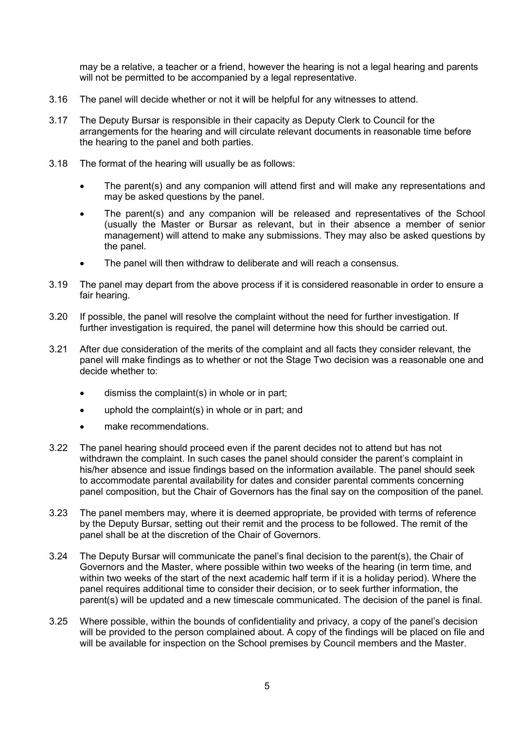may be a relative, a teacher or a friend, however the hearing is not a legal hearing and parents will not be permitted to be accompanied by a legal representative.

- 3.16 The panel will decide whether or not it will be helpful for any witnesses to attend.
- 3.17 The Deputy Bursar is responsible in their capacity as Deputy Clerk to Council for the arrangements for the hearing and will circulate relevant documents in reasonable time before the hearing to the panel and both parties.
- 3.18 The format of the hearing will usually be as follows:
	- The parent(s) and any companion will attend first and will make any representations and may be asked questions by the panel.
	- The parent(s) and any companion will be released and representatives of the School (usually the Master or Bursar as relevant, but in their absence a member of senior management) will attend to make any submissions. They may also be asked questions by the panel.
	- The panel will then withdraw to deliberate and will reach a consensus.
- 3.19 The panel may depart from the above process if it is considered reasonable in order to ensure a fair hearing.
- 3.20 If possible, the panel will resolve the complaint without the need for further investigation. If further investigation is required, the panel will determine how this should be carried out.
- 3.21 After due consideration of the merits of the complaint and all facts they consider relevant, the panel will make findings as to whether or not the Stage Two decision was a reasonable one and decide whether to:
	- dismiss the complaint(s) in whole or in part;
	- uphold the complaint(s) in whole or in part; and
	- make recommendations.
- 3.22 The panel hearing should proceed even if the parent decides not to attend but has not withdrawn the complaint. In such cases the panel should consider the parent's complaint in his/her absence and issue findings based on the information available. The panel should seek to accommodate parental availability for dates and consider parental comments concerning panel composition, but the Chair of Governors has the final say on the composition of the panel.
- 3.23 The panel members may, where it is deemed appropriate, be provided with terms of reference by the Deputy Bursar, setting out their remit and the process to be followed. The remit of the panel shall be at the discretion of the Chair of Governors.
- 3.24 The Deputy Bursar will communicate the panel's final decision to the parent(s), the Chair of Governors and the Master, where possible within two weeks of the hearing (in term time, and within two weeks of the start of the next academic half term if it is a holiday period). Where the panel requires additional time to consider their decision, or to seek further information, the parent(s) will be updated and a new timescale communicated. The decision of the panel is final.
- 3.25 Where possible, within the bounds of confidentiality and privacy, a copy of the panel's decision will be provided to the person complained about. A copy of the findings will be placed on file and will be available for inspection on the School premises by Council members and the Master.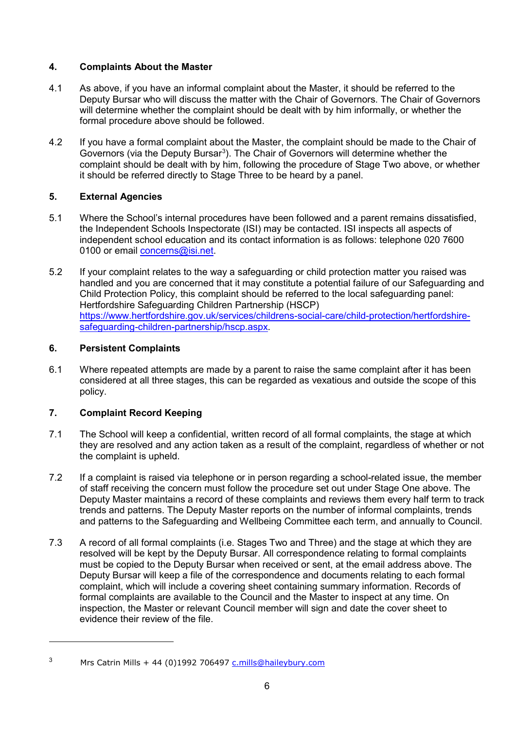# **4. Complaints About the Master**

- 4.1 As above, if you have an informal complaint about the Master, it should be referred to the Deputy Bursar who will discuss the matter with the Chair of Governors. The Chair of Governors will determine whether the complaint should be dealt with by him informally, or whether the formal procedure above should be followed.
- 4.2 If you have a formal complaint about the Master, the complaint should be made to the Chair of Governors (via the Deputy Bursar<sup>[3](#page-8-0)</sup>). The Chair of Governors will determine whether the complaint should be dealt with by him, following the procedure of Stage Two above, or whether it should be referred directly to Stage Three to be heard by a panel.

# **5. External Agencies**

- 5.1 Where the School's internal procedures have been followed and a parent remains dissatisfied, the Independent Schools Inspectorate (ISI) may be contacted. ISI inspects all aspects of independent school education and its contact information is as follows: telephone 020 7600 0100 or email [concerns@isi.net.](mailto:concerns@isi.net)
- 5.2 If your complaint relates to the way a safeguarding or child protection matter you raised was handled and you are concerned that it may constitute a potential failure of our Safeguarding and Child Protection Policy, this complaint should be referred to the local safeguarding panel: Hertfordshire Safeguarding Children Partnership (HSCP) [https://www.hertfordshire.gov.uk/services/childrens-social-care/child-protection/hertfordshire](https://www.hertfordshire.gov.uk/services/childrens-social-care/child-protection/hertfordshire-safeguarding-children-partnership/hscp.aspx)[safeguarding-children-partnership/hscp.aspx.](https://www.hertfordshire.gov.uk/services/childrens-social-care/child-protection/hertfordshire-safeguarding-children-partnership/hscp.aspx)

# **6. Persistent Complaints**

6.1 Where repeated attempts are made by a parent to raise the same complaint after it has been considered at all three stages, this can be regarded as vexatious and outside the scope of this policy.

# **7. Complaint Record Keeping**

-

- 7.1 The School will keep a confidential, written record of all formal complaints, the stage at which they are resolved and any action taken as a result of the complaint, regardless of whether or not the complaint is upheld.
- 7.2 If a complaint is raised via telephone or in person regarding a school-related issue, the member of staff receiving the concern must follow the procedure set out under Stage One above. The Deputy Master maintains a record of these complaints and reviews them every half term to track trends and patterns. The Deputy Master reports on the number of informal complaints, trends and patterns to the Safeguarding and Wellbeing Committee each term, and annually to Council.
- 7.3 A record of all formal complaints (i.e. Stages Two and Three) and the stage at which they are resolved will be kept by the Deputy Bursar. All correspondence relating to formal complaints must be copied to the Deputy Bursar when received or sent, at the email address above. The Deputy Bursar will keep a file of the correspondence and documents relating to each formal complaint, which will include a covering sheet containing summary information. Records of formal complaints are available to the Council and the Master to inspect at any time. On inspection, the Master or relevant Council member will sign and date the cover sheet to evidence their review of the file.

<span id="page-8-0"></span><sup>&</sup>lt;sup>3</sup> Mrs Catrin Mills + 44 (0)1992 706497 [c.mills@haileybury.com](mailto:c.mills@haileybury.com)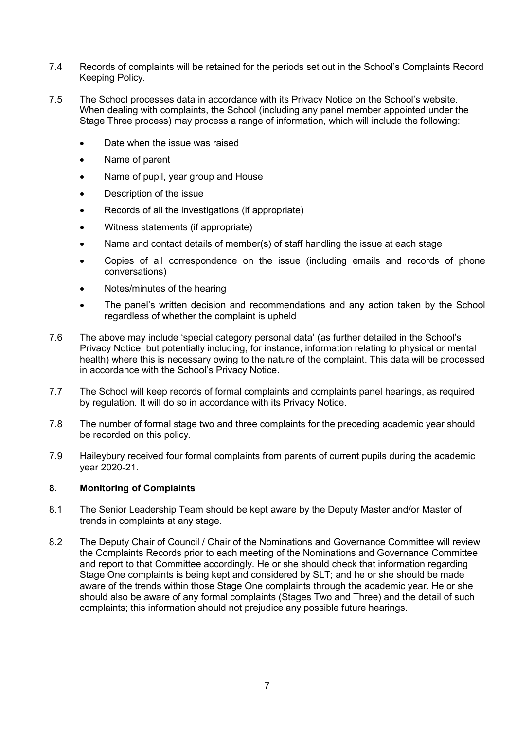- 7.4 Records of complaints will be retained for the periods set out in the School's Complaints Record Keeping Policy.
- 7.5 The School processes data in accordance with its Privacy Notice on the School's website. When dealing with complaints, the School (including any panel member appointed under the Stage Three process) may process a range of information, which will include the following:
	- Date when the issue was raised
	- Name of parent
	- Name of pupil, year group and House
	- Description of the issue
	- Records of all the investigations (if appropriate)
	- Witness statements (if appropriate)
	- Name and contact details of member(s) of staff handling the issue at each stage
	- Copies of all correspondence on the issue (including emails and records of phone conversations)
	- Notes/minutes of the hearing
	- The panel's written decision and recommendations and any action taken by the School regardless of whether the complaint is upheld
- 7.6 The above may include 'special category personal data' (as further detailed in the School's Privacy Notice, but potentially including, for instance, information relating to physical or mental health) where this is necessary owing to the nature of the complaint. This data will be processed in accordance with the School's Privacy Notice.
- 7.7 The School will keep records of formal complaints and complaints panel hearings, as required by regulation. It will do so in accordance with its Privacy Notice.
- 7.8 The number of formal stage two and three complaints for the preceding academic year should be recorded on this policy.
- 7.9 Haileybury received four formal complaints from parents of current pupils during the academic year 2020-21.

#### **8. Monitoring of Complaints**

- 8.1 The Senior Leadership Team should be kept aware by the Deputy Master and/or Master of trends in complaints at any stage.
- 8.2 The Deputy Chair of Council / Chair of the Nominations and Governance Committee will review the Complaints Records prior to each meeting of the Nominations and Governance Committee and report to that Committee accordingly. He or she should check that information regarding Stage One complaints is being kept and considered by SLT; and he or she should be made aware of the trends within those Stage One complaints through the academic year. He or she should also be aware of any formal complaints (Stages Two and Three) and the detail of such complaints; this information should not prejudice any possible future hearings.